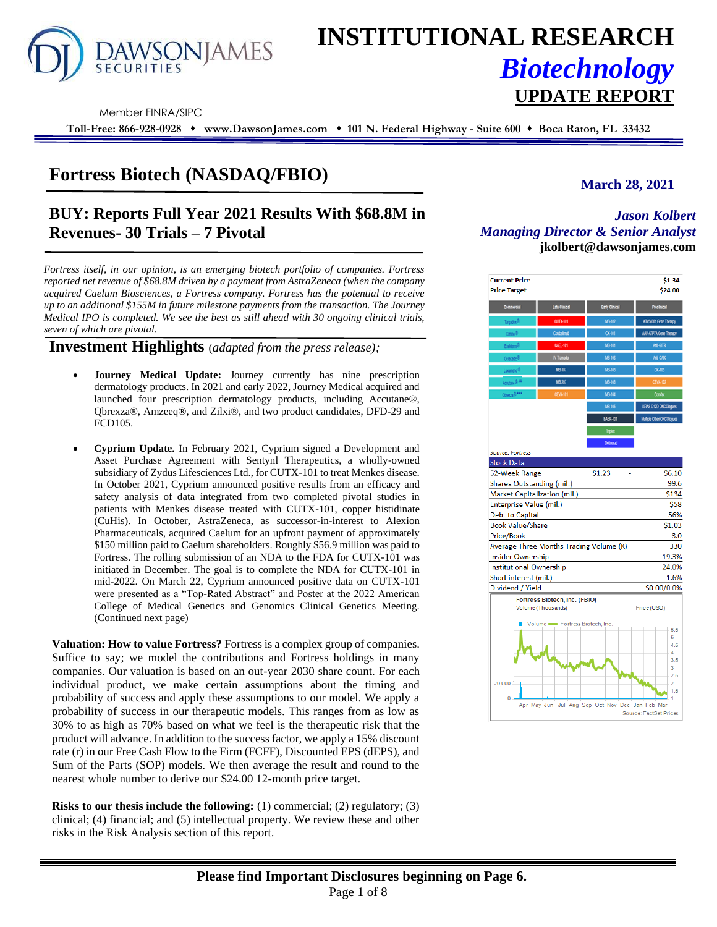

# **INSTITUTIONAL RESEARCH** *Biotechnology* **UPDATE REPORT**

Member FINRA/SIPC

**Toll-Free: 866-928-0928** ⬧ **www.DawsonJames.com** ⬧ **101 N. Federal Highway - Suite 600** ⬧ **Boca Raton, FL 33432**

# **Fortress Biotech (NASDAQ/FBIO)** March 28, 2021

# **BUY: Reports Full Year 2021 Results With \$68.8M in Revenues- 30 Trials – 7 Pivotal**

*Fortress itself, in our opinion, is an emerging biotech portfolio of companies. Fortress reported net revenue of \$68.8M driven by a payment from AstraZeneca (when the company acquired Caelum Biosciences, a Fortress company. Fortress has the potential to receive up to an additional \$155M in future milestone payments from the transaction. The Journey Medical IPO is completed. We see the best as still ahead with 30 ongoing clinical trials, seven of which are pivotal.* 

**Investment Highlights** (*adapted from the press release);*

- **Journey Medical Update:** Journey currently has nine prescription dermatology products. In 2021 and early 2022, Journey Medical acquired and launched four prescription dermatology products, including Accutane®, Qbrexza®, Amzeeq®, and Zilxi®, and two product candidates, DFD-29 and FCD105.
- **Cyprium Update.** In February 2021, Cyprium signed a Development and Asset Purchase Agreement with Sentynl Therapeutics, a wholly-owned subsidiary of Zydus Lifesciences Ltd., for CUTX-101 to treat Menkes disease. In October 2021, Cyprium announced positive results from an efficacy and safety analysis of data integrated from two completed pivotal studies in patients with Menkes disease treated with CUTX-101, copper histidinate (CuHis). In October, AstraZeneca, as successor-in-interest to Alexion Pharmaceuticals, acquired Caelum for an upfront payment of approximately \$150 million paid to Caelum shareholders. Roughly \$56.9 million was paid to Fortress. The rolling submission of an NDA to the FDA for CUTX-101 was initiated in December. The goal is to complete the NDA for CUTX-101 in mid-2022. On March 22, Cyprium announced positive data on CUTX-101 were presented as a "Top-Rated Abstract" and Poster at the 2022 American College of Medical Genetics and Genomics Clinical Genetics Meeting. (Continued next page)

**Valuation: How to value Fortress?** Fortress is a complex group of companies. Suffice to say; we model the contributions and Fortress holdings in many companies. Our valuation is based on an out-year 2030 share count. For each individual product, we make certain assumptions about the timing and probability of success and apply these assumptions to our model. We apply a probability of success in our therapeutic models. This ranges from as low as 30% to as high as 70% based on what we feel is the therapeutic risk that the product will advance. In addition to the success factor, we apply a 15% discount rate (r) in our Free Cash Flow to the Firm (FCFF), Discounted EPS (dEPS), and Sum of the Parts (SOP) models. We then average the result and round to the nearest whole number to derive our \$24.00 12-month price target.

**Risks to our thesis include the following:** (1) commercial; (2) regulatory; (3) clinical; (4) financial; and (5) intellectual property. We review these and other risks in the Risk Analysis section of this report.

### *Jason Kolbert Managing Director & Senior Analyst* **jkolbert@dawsonjames.com**

| Commercial<br>Targadox <sup>®</sup><br>Xmino <sup>0</sup><br>Exektern <sup>0</sup><br>Ceracade <sup>®</sup><br>Luxamend <sup>®</sup><br>Accutane <sup>®**</sup><br>Obresta ® **** | Late Clinical<br><b>CUTX-101</b><br>Cosbelmab<br><b>CAEL-101</b><br>IV Tramadol<br>MB-107<br>MB-207 | Early Clinical<br>MB-102<br><b>CK-101</b><br>MB-101<br>MB-106<br>MB-103 | Preclinical<br>ATVS-001 Gene Therapy<br>AAV-ATP7A Gene Therapy<br>Arti-GITR<br>AND-CADE |  |  |
|-----------------------------------------------------------------------------------------------------------------------------------------------------------------------------------|-----------------------------------------------------------------------------------------------------|-------------------------------------------------------------------------|-----------------------------------------------------------------------------------------|--|--|
|                                                                                                                                                                                   |                                                                                                     |                                                                         |                                                                                         |  |  |
|                                                                                                                                                                                   |                                                                                                     |                                                                         |                                                                                         |  |  |
|                                                                                                                                                                                   |                                                                                                     |                                                                         |                                                                                         |  |  |
|                                                                                                                                                                                   |                                                                                                     |                                                                         |                                                                                         |  |  |
|                                                                                                                                                                                   |                                                                                                     |                                                                         |                                                                                         |  |  |
|                                                                                                                                                                                   |                                                                                                     |                                                                         | CK-103                                                                                  |  |  |
|                                                                                                                                                                                   |                                                                                                     | MB-108                                                                  | <b>CEVA-102</b>                                                                         |  |  |
|                                                                                                                                                                                   | <b>CEVA-101</b>                                                                                     | MB-104                                                                  | ConVax                                                                                  |  |  |
|                                                                                                                                                                                   |                                                                                                     | MB-105                                                                  | KRAS G12D ONCOlogues                                                                    |  |  |
|                                                                                                                                                                                   |                                                                                                     | <b>BAER-101</b>                                                         | Multple Other ONCOlogues                                                                |  |  |
|                                                                                                                                                                                   |                                                                                                     | Triplex                                                                 |                                                                                         |  |  |
|                                                                                                                                                                                   |                                                                                                     | <b>Dolinurad</b>                                                        |                                                                                         |  |  |
| <b>Source: Fortress</b>                                                                                                                                                           |                                                                                                     |                                                                         |                                                                                         |  |  |
| <b>Stock Data</b>                                                                                                                                                                 |                                                                                                     |                                                                         |                                                                                         |  |  |
| 52-Week Range                                                                                                                                                                     |                                                                                                     | \$1.23                                                                  | \$6.10                                                                                  |  |  |
| Shares Outstanding (mil.)                                                                                                                                                         |                                                                                                     |                                                                         | 99.6                                                                                    |  |  |
| Market Capitalization (mil.)                                                                                                                                                      |                                                                                                     |                                                                         | \$134                                                                                   |  |  |
| Enterprise Value (mil.)                                                                                                                                                           |                                                                                                     |                                                                         | \$58                                                                                    |  |  |
| <b>Debt to Capital</b>                                                                                                                                                            |                                                                                                     |                                                                         | 56%                                                                                     |  |  |
| <b>Book Value/Share</b>                                                                                                                                                           |                                                                                                     |                                                                         | \$1.03                                                                                  |  |  |
| Price/Book                                                                                                                                                                        |                                                                                                     |                                                                         | 3.0                                                                                     |  |  |
| Average Three Months Trading Volume (K)                                                                                                                                           |                                                                                                     |                                                                         | 330                                                                                     |  |  |
| <b>Insider Ownership</b>                                                                                                                                                          |                                                                                                     |                                                                         | 19.3%                                                                                   |  |  |
| <b>Institutional Ownership</b>                                                                                                                                                    |                                                                                                     |                                                                         | 24.0%                                                                                   |  |  |
| Short interest (mil.)                                                                                                                                                             |                                                                                                     |                                                                         | 1.6%                                                                                    |  |  |
| Dividend / Yield                                                                                                                                                                  |                                                                                                     |                                                                         | \$0.00/0.0%                                                                             |  |  |
| Volume (Thousands)                                                                                                                                                                | Fortress Biotech, Inc. (FBIO)                                                                       |                                                                         | Price (USD)                                                                             |  |  |
|                                                                                                                                                                                   | Volume - Fortress Biotech, Inc.                                                                     |                                                                         | $-5.5$<br>- 5<br>4.5<br>$\overline{4}$<br>3.5<br>-3<br>$-2.5$                           |  |  |
| $20,000 -$<br>Ō                                                                                                                                                                   |                                                                                                     | Apr May Jun Jul Aug Sep Oct Nov Dec Jan Feb Mar                         | $-2$<br>1.5                                                                             |  |  |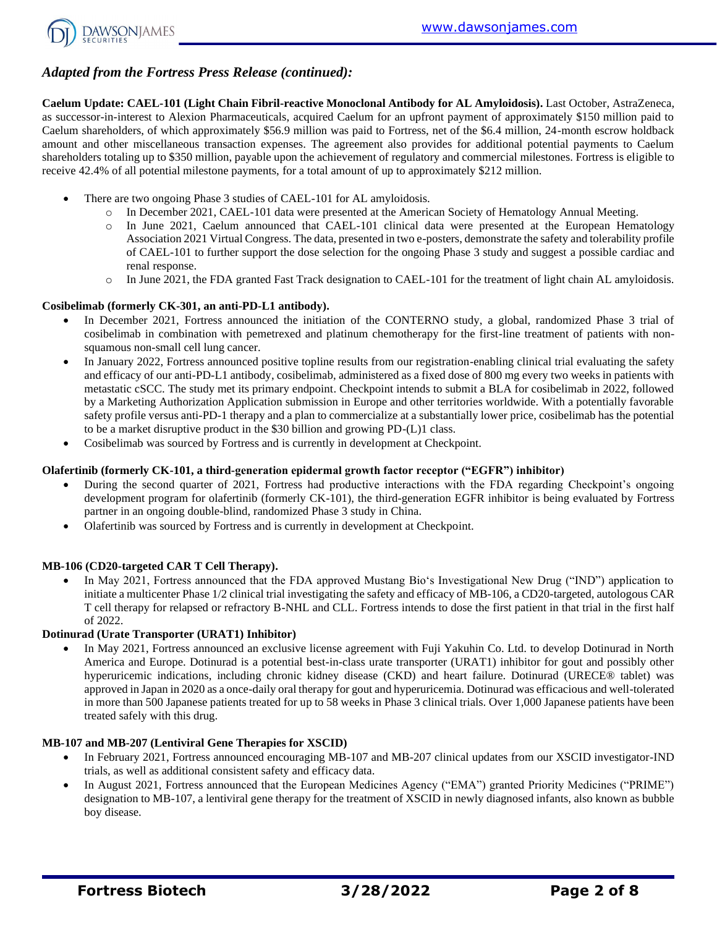

# *Adapted from the Fortress Press Release (continued):*

**Caelum Update: CAEL-101 (Light Chain Fibril-reactive Monoclonal Antibody for AL Amyloidosis).** Last October, AstraZeneca, as successor-in-interest to Alexion Pharmaceuticals, acquired Caelum for an upfront payment of approximately \$150 million paid to Caelum shareholders, of which approximately \$56.9 million was paid to Fortress, net of the \$6.4 million, 24-month escrow holdback amount and other miscellaneous transaction expenses. The agreement also provides for additional potential payments to Caelum shareholders totaling up to \$350 million, payable upon the achievement of regulatory and commercial milestones. Fortress is eligible to receive 42.4% of all potential milestone payments, for a total amount of up to approximately \$212 million.

- There are two ongoing Phase 3 studies of CAEL-101 for AL amyloidosis.
	- o In December 2021, CAEL-101 data were presented at the American Society of Hematology Annual Meeting.
	- o In June 2021, Caelum announced that CAEL-101 clinical data were presented at the European Hematology Association 2021 Virtual Congress. The data, presented in two e-posters, demonstrate the safety and tolerability profile of CAEL-101 to further support the dose selection for the ongoing Phase 3 study and suggest a possible cardiac and renal response.
	- o In June 2021, the FDA granted Fast Track designation to CAEL-101 for the treatment of light chain AL amyloidosis.

#### **Cosibelimab (formerly CK-301, an anti-PD-L1 antibody).**

- In December 2021, Fortress announced the initiation of the CONTERNO study, a global, randomized Phase 3 trial of cosibelimab in combination with pemetrexed and platinum chemotherapy for the first-line treatment of patients with nonsquamous non-small cell lung cancer.
- In January 2022, Fortress announced positive topline results from our registration-enabling clinical trial evaluating the safety and efficacy of our anti-PD-L1 antibody, cosibelimab, administered as a fixed dose of 800 mg every two weeks in patients with metastatic cSCC. The study met its primary endpoint. Checkpoint intends to submit a BLA for cosibelimab in 2022, followed by a Marketing Authorization Application submission in Europe and other territories worldwide. With a potentially favorable safety profile versus anti-PD-1 therapy and a plan to commercialize at a substantially lower price, cosibelimab has the potential to be a market disruptive product in the \$30 billion and growing PD-(L)1 class.
- Cosibelimab was sourced by Fortress and is currently in development at Checkpoint.

#### **Olafertinib (formerly CK-101, a third-generation epidermal growth factor receptor ("EGFR") inhibitor)**

- During the second quarter of 2021, Fortress had productive interactions with the FDA regarding Checkpoint's ongoing development program for olafertinib (formerly CK-101), the third-generation EGFR inhibitor is being evaluated by Fortress partner in an ongoing double-blind, randomized Phase 3 study in China.
- Olafertinib was sourced by Fortress and is currently in development at Checkpoint.

#### **MB-106 (CD20-targeted CAR T Cell Therapy).**

• In May 2021, Fortress announced that the FDA approved Mustang Bio's Investigational New Drug ("IND") application to initiate a multicenter Phase 1/2 clinical trial investigating the safety and efficacy of MB-106, a CD20-targeted, autologous CAR T cell therapy for relapsed or refractory B-NHL and CLL. Fortress intends to dose the first patient in that trial in the first half of 2022.

#### **Dotinurad (Urate Transporter (URAT1) Inhibitor)**

• In May 2021, Fortress announced an exclusive license agreement with Fuji Yakuhin Co. Ltd. to develop Dotinurad in North America and Europe. Dotinurad is a potential best-in-class urate transporter (URAT1) inhibitor for gout and possibly other hyperuricemic indications, including chronic kidney disease (CKD) and heart failure. Dotinurad (URECE® tablet) was approved in Japan in 2020 as a once-daily oral therapy for gout and hyperuricemia. Dotinurad was efficacious and well-tolerated in more than 500 Japanese patients treated for up to 58 weeks in Phase 3 clinical trials. Over 1,000 Japanese patients have been treated safely with this drug.

#### **MB-107 and MB-207 (Lentiviral Gene Therapies for XSCID)**

- In February 2021, Fortress announced encouraging MB-107 and MB-207 clinical updates from our XSCID investigator-IND trials, as well as additional consistent safety and efficacy data.
- In August 2021, Fortress announced that the European Medicines Agency ("EMA") granted Priority Medicines ("PRIME") designation to MB-107, a lentiviral gene therapy for the treatment of XSCID in newly diagnosed infants, also known as bubble boy disease.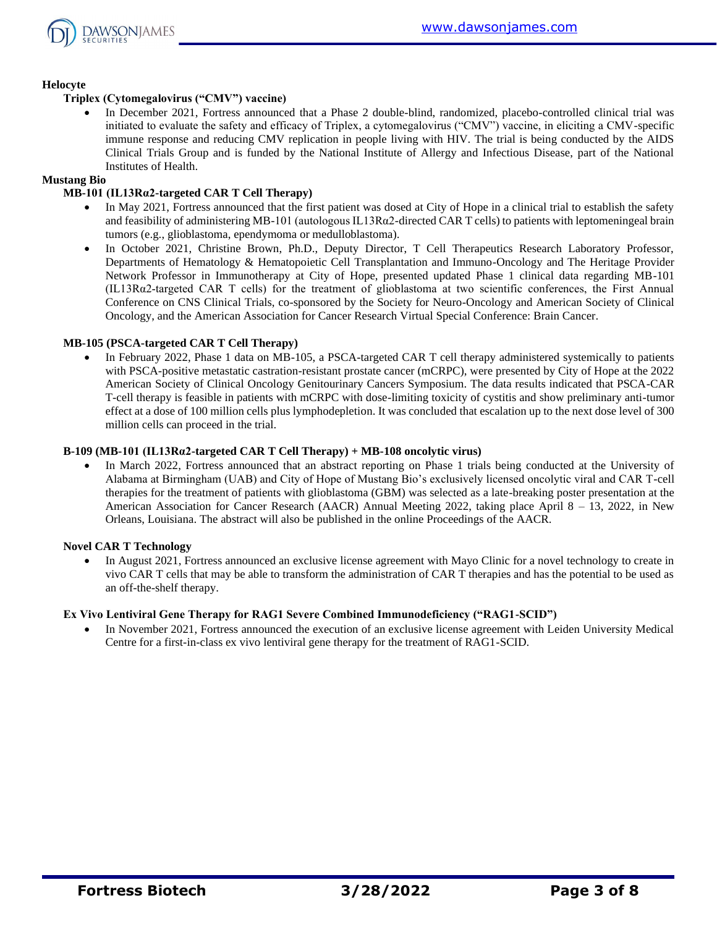

#### **Helocyte**

#### **Triplex (Cytomegalovirus ("CMV") vaccine)**

In December 2021, Fortress announced that a Phase 2 double-blind, randomized, placebo-controlled clinical trial was initiated to evaluate the safety and efficacy of Triplex, a cytomegalovirus ("CMV") vaccine, in eliciting a CMV-specific immune response and reducing CMV replication in people living with HIV. The trial is being conducted by the AIDS Clinical Trials Group and is funded by the National Institute of Allergy and Infectious Disease, part of the National Institutes of Health.

#### **Mustang Bio**

#### **MB-101 (IL13Rα2-targeted CAR T Cell Therapy)**

- In May 2021, Fortress announced that the first patient was dosed at City of Hope in a clinical trial to establish the safety and feasibility of administering MB-101 (autologous IL13Rα2-directed CAR T cells) to patients with leptomeningeal brain tumors (e.g., glioblastoma, ependymoma or medulloblastoma).
- In October 2021, Christine Brown, Ph.D., Deputy Director, T Cell Therapeutics Research Laboratory Professor, Departments of Hematology & Hematopoietic Cell Transplantation and Immuno-Oncology and The Heritage Provider Network Professor in Immunotherapy at City of Hope, presented updated Phase 1 clinical data regarding MB-101 (IL13Rα2‐targeted CAR T cells) for the treatment of glioblastoma at two scientific conferences, the First Annual Conference on CNS Clinical Trials, co-sponsored by the Society for Neuro-Oncology and American Society of Clinical Oncology, and the American Association for Cancer Research Virtual Special Conference: Brain Cancer.

#### **MB-105 (PSCA-targeted CAR T Cell Therapy)**

• In February 2022, Phase 1 data on MB-105, a PSCA-targeted CAR T cell therapy administered systemically to patients with PSCA-positive metastatic castration-resistant prostate cancer (mCRPC), were presented by City of Hope at the 2022 American Society of Clinical Oncology Genitourinary Cancers Symposium. The data results indicated that PSCA-CAR T-cell therapy is feasible in patients with mCRPC with dose-limiting toxicity of cystitis and show preliminary anti-tumor effect at a dose of 100 million cells plus lymphodepletion. It was concluded that escalation up to the next dose level of 300 million cells can proceed in the trial.

#### **B-109 (MB-101 (IL13Rα2-targeted CAR T Cell Therapy) + MB-108 oncolytic virus)**

In March 2022, Fortress announced that an abstract reporting on Phase 1 trials being conducted at the University of Alabama at Birmingham (UAB) and City of Hope of Mustang Bio's exclusively licensed oncolytic viral and CAR T-cell therapies for the treatment of patients with glioblastoma (GBM) was selected as a late-breaking poster presentation at the American Association for Cancer Research (AACR) Annual Meeting 2022, taking place April 8 – 13, 2022, in New Orleans, Louisiana. The abstract will also be published in the online Proceedings of the AACR.

#### **Novel CAR T Technology**

• In August 2021, Fortress announced an exclusive license agreement with Mayo Clinic for a novel technology to create in vivo CAR T cells that may be able to transform the administration of CAR T therapies and has the potential to be used as an off-the-shelf therapy.

#### **Ex Vivo Lentiviral Gene Therapy for RAG1 Severe Combined Immunodeficiency ("RAG1-SCID")**

• In November 2021, Fortress announced the execution of an exclusive license agreement with Leiden University Medical Centre for a first-in-class ex vivo lentiviral gene therapy for the treatment of RAG1-SCID.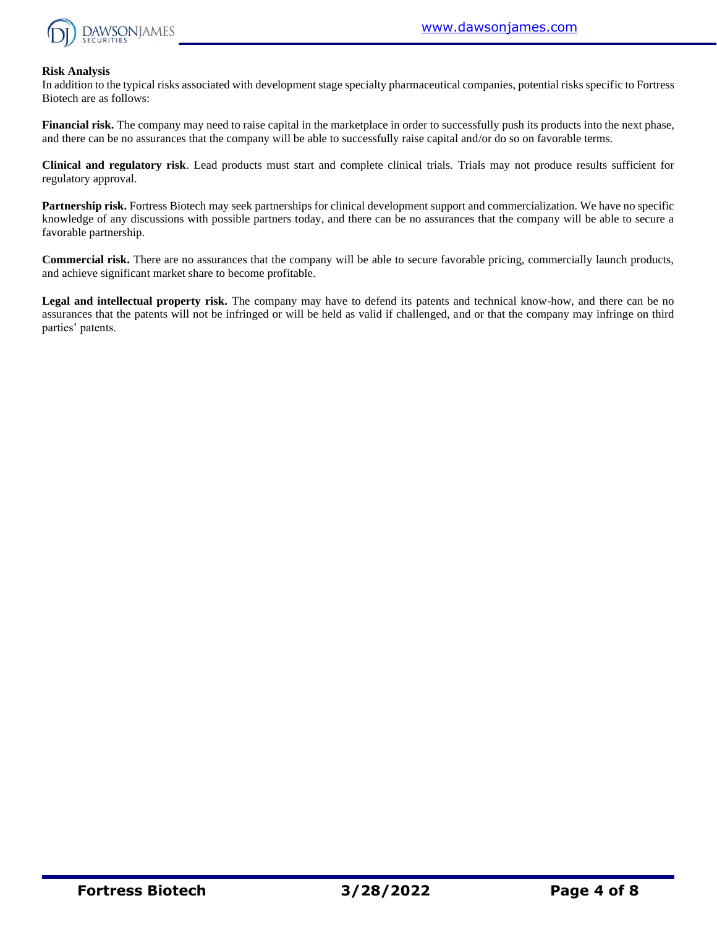

#### **Risk Analysis**

In addition to the typical risks associated with development stage specialty pharmaceutical companies, potential risks specific to Fortress Biotech are as follows:

**Financial risk.** The company may need to raise capital in the marketplace in order to successfully push its products into the next phase, and there can be no assurances that the company will be able to successfully raise capital and/or do so on favorable terms.

**Clinical and regulatory risk**. Lead products must start and complete clinical trials. Trials may not produce results sufficient for regulatory approval.

**Partnership risk.** Fortress Biotech may seek partnerships for clinical development support and commercialization. We have no specific knowledge of any discussions with possible partners today, and there can be no assurances that the company will be able to secure a favorable partnership.

**Commercial risk.** There are no assurances that the company will be able to secure favorable pricing, commercially launch products, and achieve significant market share to become profitable.

**Legal and intellectual property risk.** The company may have to defend its patents and technical know-how, and there can be no assurances that the patents will not be infringed or will be held as valid if challenged, and or that the company may infringe on third parties' patents.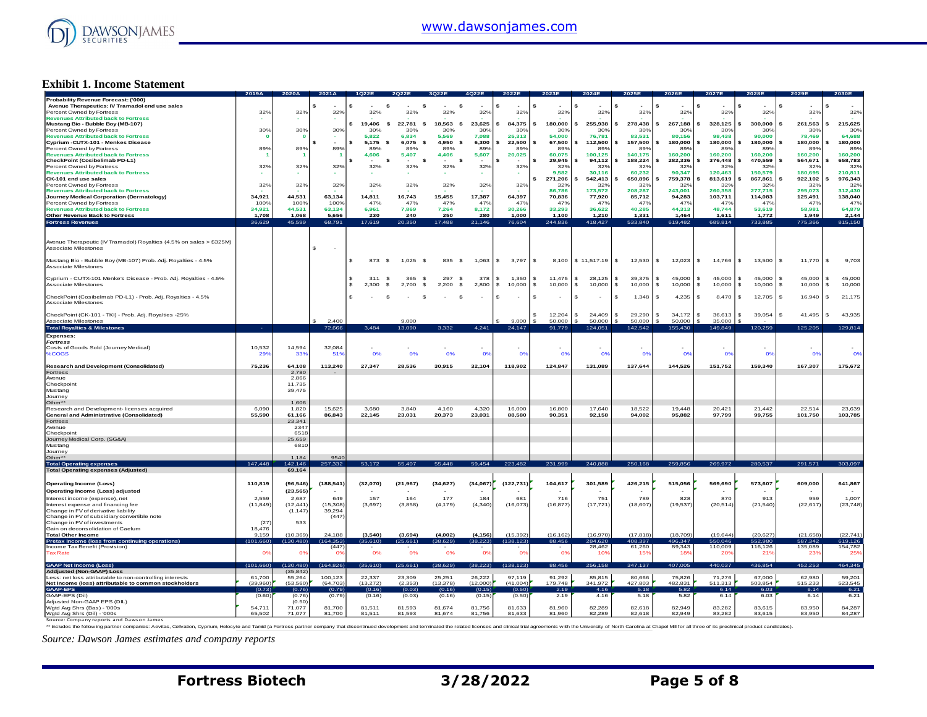

#### **Exhibit 1. Income Statement**

| Probability Revenue Forecast: ('000)                                |                  |                         |                                |                           |                                          |                    |                  |                  |                        |                  |                          |                         |                                 |                  |                  |                  |
|---------------------------------------------------------------------|------------------|-------------------------|--------------------------------|---------------------------|------------------------------------------|--------------------|------------------|------------------|------------------------|------------------|--------------------------|-------------------------|---------------------------------|------------------|------------------|------------------|
|                                                                     |                  |                         |                                |                           |                                          |                    |                  |                  |                        |                  |                          |                         |                                 |                  |                  |                  |
| Avenue Therapeutics: IV Tramadol end use sales                      |                  |                         |                                |                           | -\$                                      | \$                 |                  |                  |                        |                  |                          |                         |                                 |                  |                  |                  |
| Percent Owned by Fortress                                           | 32%              | 32%                     | 32%                            | 32%                       | 32%                                      | 32%                | 32%              | 32%              | 32%                    | 32%              | 32%                      | 32%                     | 32%                             | 32%              | 32%              | 32%              |
| <b>Revenues Attributed back to Fortress</b>                         |                  |                         |                                |                           |                                          |                    |                  |                  |                        |                  |                          |                         |                                 |                  |                  |                  |
| Mustang Bio - Bubble Boy (MB-107)                                   |                  |                         |                                | 19,406<br><b>s</b>        | 22,781<br>$\mathbf{s}$                   | 18,563<br><b>S</b> | 23.625           | 84,375           | 180,000                | 255,938          | 278,438                  | 267,188                 | \$<br>328.125                   | 300,000          | 261,563          | 215,625          |
| Percent Owned by Fortress                                           | 30%              | 30%                     | 30%                            | 30%                       | 30%                                      | 30%                | 30%              | 30%              | 30%                    | 30%              | 30%                      | 30%                     | 30%                             | 30%              | 30%              | 30%              |
| <b>Revenues Attributed back to Fortress</b>                         |                  | $\overline{\mathbf{0}}$ |                                | 5,822                     | 6,834                                    | 5,569              | 7,088            | 25,313           | 54,000                 | 76,781           | 83,531                   | 80,156                  | 98,438                          | 90,000           | 78,469           | 64,688           |
| Cyprium -CUTX-101 - Menkes Disease                                  |                  |                         | ¢                              | $5.175$ \$                | 6.075<br>- \$                            | 4.950<br>- \$      | 6.300            | 22.500           | 67,500                 | 112,500          | 157,500                  | 180,000                 | 180,000<br>$\ddot{\phantom{1}}$ | 180,000          | 180,000          | 180,000          |
| Percent Owned by Fortress                                           | 89%              | 89%                     | 89%                            | 89%                       | 89%                                      | 89%                | 89%              | 89%              | 89%                    | 89%              | 89%                      | 89%                     | 89%                             | 89%              | 89%              | 89%              |
|                                                                     |                  |                         |                                |                           |                                          |                    |                  |                  | 60.075                 |                  |                          |                         |                                 |                  |                  |                  |
| <b>Revenues Attributed back to Fortress</b>                         |                  | - 1                     | -1                             | 4,606                     | 5,407                                    | 4,406              | 5,607            | 20,025           |                        | 100,125          | 140,175                  | 160,200                 | 160,200                         | 160,200          | 160,200          | 160,200          |
| CheckPoint (Cosibelimab PD-L1)                                      |                  |                         |                                | $\mathbf{s}$              | $\mathbf{s}$<br>$\overline{\phantom{a}}$ | -\$<br>$\sim$      | . п.             |                  | 29,945                 | 94.112           | 188,224                  | 282,336                 | 376,448                         | 470,559          | 564,671          | 658,783          |
| Percent Owned by Fortress                                           | 32%              | 32%                     | 32%                            | 32%                       | 32%                                      | 32%                | 32%              | 32%              | 32%                    | 32%              | 32%                      | 32%                     | 32%                             | 32%              | 32%              | 32%              |
| <b>Revenues Attributed back to Fortress</b>                         |                  |                         |                                |                           |                                          |                    | ä.               |                  | 9.582                  | 30.116           | 60.232                   | 90.347                  | 120,463                         | 150,579          | 180.695          | 210,811          |
| CK-101 end use sales                                                |                  |                         |                                |                           |                                          |                    |                  |                  | 271,206                | 542,413          | 650,896                  | 759,378                 | 813,619                         | 867,861          | 922,102          | 976,343          |
| Percent Owned by Fortress                                           | 32%              | 32%                     | 32%                            | 32%                       | 32%                                      | 32%                | 32%              | 32%              | 32%                    | 32%              | 32%                      | 32%                     | 32%                             | 32%              | 32%              | 32 <sup>c</sup>  |
| <b>Revenues Attributed back to Fortress</b>                         |                  |                         |                                |                           |                                          |                    |                  |                  | 86,786                 | 173,572          | 208,287                  | 243,001                 | 260,358                         | 277.715          | 295,073          | 312,430          |
| Journey Medical Corporation (Dermatology)                           | 34,921           | 44,531                  | 63,134                         | 14,811                    | 16,743                                   | 15,455             | 17,387           | 64,397           | 70,836                 | 77,920           | 85,712                   | 94,283                  | 103,711                         | 114,083          | 125,491          | 138,040          |
|                                                                     |                  |                         |                                |                           |                                          |                    |                  |                  |                        |                  |                          |                         |                                 |                  |                  |                  |
| Percent Owned by Fortress                                           | 100%             | 100%                    | 100%                           | 47%                       | 47%                                      | 47%                | 47%              | 47%              | 47%                    | 47%              | 47%                      | 47%                     | 47%                             | 47%              | 47%              | 47%              |
| <b>Revenues Attributed back to Fortress</b>                         | 34,921           | 44,531                  | 63,134                         | 6,961                     | 7,869                                    | 7,264              | 8,172            | 30,266           | 33,293                 | 36,622           | 40,285                   | 44,313                  | 48,744                          | 53,619           | 58,981           | 64,879           |
| <b>Other Revenue Back to Fortress</b>                               | 1.708            | 1.068                   | 5.656                          | 230                       | 240                                      | 250                | 280              | 1.000            | 1.100                  | 1,210            | 1,331                    | 1.464                   | 1.611                           | 1.772            | 1.949            | 2,144            |
| <b>Fortress Revenues</b>                                            | 36,629           | 45,599                  | 68,791                         | 17,619                    | 20,350                                   | 17,488             | 21,146           | 76,604           | 244,836                | 418,427          | 533,840                  | 619,482                 | 689,814                         | 733.885          | 775,366          | 815,150          |
|                                                                     |                  |                         |                                |                           |                                          |                    |                  |                  |                        |                  |                          |                         |                                 |                  |                  |                  |
|                                                                     |                  |                         |                                |                           |                                          |                    |                  |                  |                        |                  |                          |                         |                                 |                  |                  |                  |
|                                                                     |                  |                         |                                |                           |                                          |                    |                  |                  |                        |                  |                          |                         |                                 |                  |                  |                  |
| Avenue Therapeutic (IV Tramadol) Royalties (4.5% on sales > \$325M) |                  |                         |                                |                           |                                          |                    |                  |                  |                        |                  |                          |                         |                                 |                  |                  |                  |
| Associate Milestones                                                |                  |                         | Ś.<br>$\overline{\phantom{a}}$ |                           |                                          |                    |                  |                  |                        |                  |                          |                         |                                 |                  |                  |                  |
|                                                                     |                  |                         |                                |                           |                                          |                    |                  |                  |                        |                  |                          |                         |                                 |                  |                  |                  |
| Mustang Bio - Bubble Boy (MB-107) Prob. Adj. Royalties - 4.5%       |                  |                         |                                | \$<br>873<br>- 5          | 1,025<br>- \$                            | 835<br><b>S</b>    | 1,063            | S.<br>3,797      | $\mathcal{S}$<br>8.100 | \$11,517.19      | $\mathfrak{s}$<br>12,530 | $\mathcal{L}$<br>12,023 | \$<br>14,766                    | S.<br>13,500     | 11,770<br>£.     | 9,703            |
| Associate Milestones                                                |                  |                         |                                |                           |                                          |                    |                  |                  |                        |                  |                          |                         |                                 |                  |                  |                  |
|                                                                     |                  |                         |                                |                           |                                          |                    |                  |                  |                        |                  |                          |                         |                                 |                  |                  |                  |
|                                                                     |                  |                         |                                |                           |                                          |                    |                  |                  |                        |                  |                          |                         |                                 |                  |                  |                  |
| Cyprium - CUTX-101 Menke's Disease - Prob. Adj. Royalties - 4.5%    |                  |                         |                                | \$<br>311<br>$\mathbf{s}$ | 365<br>- \$                              | 297 \$             | 378              | s<br>1.350       | \$<br>11.475           | 28,125<br>\$     | \$<br>39,375             | 45,000<br>\$.           | \$<br>45,000                    | 45,000<br>\$     | 45,000<br>s.     | 45,000           |
| Associate Milestones                                                |                  |                         |                                | 2.300<br>S<br>-S          | 2,700<br>-S                              | 2,200<br>\$        | 2,800            | \$.<br>10,000    | \$<br>10,000           | \$.<br>10,000    | \$<br>10,000             | 10,000<br>\$.           | \$<br>10,000                    | 10,000           | 10,000           | 10,000           |
|                                                                     |                  |                         |                                |                           |                                          |                    |                  |                  |                        |                  |                          |                         |                                 |                  |                  |                  |
| CheckPoint (Cosibelmab PD-L1) - Prob. Adj. Royalties - 4.5%         |                  |                         |                                | \$                        | - \$                                     | <sub>\$</sub>      |                  | s                | \$                     | \$               | 1,348<br>s.              | 4,235<br>\$.            | 8,470<br>S.                     | 12,705<br>s      | 16,940<br>s.     | 21,175           |
| Associate Milestones                                                |                  |                         |                                |                           |                                          |                    |                  |                  |                        |                  |                          |                         |                                 |                  |                  |                  |
|                                                                     |                  |                         |                                |                           |                                          |                    |                  |                  |                        |                  |                          |                         |                                 |                  |                  |                  |
|                                                                     |                  |                         |                                |                           |                                          |                    |                  |                  |                        |                  |                          |                         |                                 | $\mathbf{s}$     |                  |                  |
| CheckPoint (CK-101 - TKI) - Prob. Adj. Royalties -25%               |                  |                         |                                |                           |                                          |                    |                  |                  | 12,204                 | 24,409<br>\$     | 29,290<br>$\mathbf{F}$   | 34,172                  | 36,613<br>\$                    | 39,054           | 41,495           | 43,935           |
| Associate Milestones                                                |                  |                         | 2.400                          |                           | 9,000                                    |                    |                  | 9,000            | 50,000                 | 50,000           | 50,000                   | 50,000                  | 35.000                          |                  |                  |                  |
| <b>Total Royalties &amp; Milestones</b>                             |                  |                         | 72,666                         | 3,484                     | 13,090                                   | 3,332              | 4.241            | 24,147           | 91,779                 | 124,051          | 142,542                  | 155,430                 | 149,849                         | 120,259          | 125,205          | 129,814          |
| Expenses:                                                           |                  |                         |                                |                           |                                          |                    |                  |                  |                        |                  |                          |                         |                                 |                  |                  |                  |
|                                                                     |                  |                         |                                |                           |                                          |                    |                  |                  |                        |                  |                          |                         |                                 |                  |                  |                  |
| <b>Fortress</b>                                                     |                  |                         |                                |                           |                                          |                    |                  |                  |                        |                  |                          |                         |                                 |                  |                  |                  |
| Costs of Goods Sold (Journey Medical)                               | 10,532           | 14,594                  | 32,084                         |                           |                                          |                    |                  |                  |                        |                  |                          |                         |                                 |                  |                  |                  |
| %COGS                                                               | 29 <sup>°</sup>  | 33%                     | 519                            | 0%                        | 0%                                       | 0%                 | O <sup>9</sup>   | O <sub>2</sub>   | 0%                     | 0 <sup>9</sup>   | O <sup>9</sup>           | 0%                      | $^{\circ}$                      | 0 <sup>9</sup>   | O <sup>s</sup>   | 0 <sup>9</sup>   |
|                                                                     |                  |                         |                                |                           |                                          |                    |                  |                  |                        |                  |                          |                         |                                 |                  |                  |                  |
| <b>Research and Development (Consolidated)</b>                      | 75,236           | 64,108                  | 113,240                        | 27,347                    | 28,536                                   | 30,915             | 32,104           | 118,902          | 124,847                | 131,089          | 137,644                  | 144,526                 | 151,752                         | 159,340          | 167,307          | 175,672          |
| Fortress                                                            |                  | 2,780                   |                                |                           |                                          |                    |                  |                  |                        |                  |                          |                         |                                 |                  |                  |                  |
| Avenue                                                              |                  | 2,866                   |                                |                           |                                          |                    |                  |                  |                        |                  |                          |                         |                                 |                  |                  |                  |
| Checkpoin                                                           |                  | 11.735                  |                                |                           |                                          |                    |                  |                  |                        |                  |                          |                         |                                 |                  |                  |                  |
|                                                                     |                  |                         |                                |                           |                                          |                    |                  |                  |                        |                  |                          |                         |                                 |                  |                  |                  |
| Mustang                                                             |                  | 39,475                  |                                |                           |                                          |                    |                  |                  |                        |                  |                          |                         |                                 |                  |                  |                  |
| Journey                                                             |                  |                         |                                |                           |                                          |                    |                  |                  |                        |                  |                          |                         |                                 |                  |                  |                  |
| Other**                                                             |                  | 1.606                   |                                |                           |                                          |                    |                  |                  |                        |                  |                          |                         |                                 |                  |                  |                  |
| Research and Development- licenses acquired                         | 6,090            | 1,820                   | 15.625                         | 3,680                     | 3,840                                    | 4,160              | 4,320            | 16,000           | 16,800                 | 17,640           | 18.522                   | 19.448                  | 20,421                          | 21,442           | 22,514           | 23,639           |
| General and Administrative (Consolidated)                           | 55,590           |                         |                                |                           | 23,031                                   | 20,373             | 23,031           | 88,580           | 90,351                 | 92,158           | 94,002                   | 95,882                  |                                 |                  | 101,750          | 103,785          |
|                                                                     |                  |                         |                                |                           |                                          |                    |                  |                  |                        |                  |                          |                         |                                 |                  |                  |                  |
|                                                                     |                  | 61,166                  | 86,843                         | 22,145                    |                                          |                    |                  |                  |                        |                  |                          |                         | 97,799                          | 99,755           |                  |                  |
| Fortress                                                            |                  | 23,341                  |                                |                           |                                          |                    |                  |                  |                        |                  |                          |                         |                                 |                  |                  |                  |
| Avenue                                                              |                  | 234                     |                                |                           |                                          |                    |                  |                  |                        |                  |                          |                         |                                 |                  |                  |                  |
| Checkpoint                                                          |                  | 6518                    |                                |                           |                                          |                    |                  |                  |                        |                  |                          |                         |                                 |                  |                  |                  |
| Journey Medical Corp. (SG&A)                                        |                  | 25,659                  |                                |                           |                                          |                    |                  |                  |                        |                  |                          |                         |                                 |                  |                  |                  |
| Mustang                                                             |                  | 6810                    |                                |                           |                                          |                    |                  |                  |                        |                  |                          |                         |                                 |                  |                  |                  |
| Journey                                                             |                  |                         |                                |                           |                                          |                    |                  |                  |                        |                  |                          |                         |                                 |                  |                  |                  |
| Other**                                                             |                  | 1,184                   | 9540                           |                           |                                          |                    |                  |                  |                        |                  |                          |                         |                                 |                  |                  |                  |
| <b>Total Operating expenses</b>                                     | 147,448          | 142,146                 | 257,332                        | 53.172                    | 55.407                                   | 55,448             | 59,454           | 223,482          | 231,999                | 240,888          | 250,168                  | 259,856                 | 269,972                         | 280,537          | 291,571          | 303,097          |
| <b>Total Operating expenses (Adjusted)</b>                          |                  | 69,164                  |                                |                           |                                          |                    |                  |                  |                        |                  |                          |                         |                                 |                  |                  |                  |
|                                                                     |                  |                         |                                |                           |                                          |                    |                  |                  |                        |                  |                          |                         |                                 |                  |                  |                  |
|                                                                     |                  |                         |                                |                           |                                          |                    |                  |                  |                        |                  |                          |                         |                                 |                  |                  |                  |
| <b>Operating Income (Loss)</b>                                      | 110,819          | (96, 546)               | (188, 541)                     | (32,070)                  | (21, 967)                                | (34, 627)          | (34,067)         | (122, 731)       | 104,617                | 301,589          | 426,215                  | 515,056                 | 569,690                         | 573,607          | 609,000          | 641,867          |
| Operating Income (Loss) adjusted                                    |                  | (23, 565)               |                                |                           |                                          |                    |                  |                  |                        |                  |                          |                         |                                 |                  |                  |                  |
| Interest income (expense), net                                      | 2,559            | 2,687                   | 649                            | 157                       | 164                                      | 177                | 184              | 681              | 716                    | 751              | 789                      | 828                     | 870                             | 913              | 959              | 1,007            |
|                                                                     |                  |                         |                                |                           |                                          |                    |                  |                  |                        |                  |                          |                         |                                 |                  |                  |                  |
| Interest expense and financing fee                                  | (11, 849)        | (12, 441)               | (15,308)                       | (3,697)                   | (3,858)                                  | (4, 179)           | (4,340)          | (16,073)         | (16, 877)              | (17, 721)        | (18, 607)                | (19, 537)               | (20, 514)                       | (21, 540)        | (22, 617)        | (23, 748)        |
| Change in FV of derivative liability                                |                  | (1.147)                 | 39,294                         |                           |                                          |                    |                  |                  |                        |                  |                          |                         |                                 |                  |                  |                  |
| Change in FV of subsidiary convertible note                         |                  |                         | (447)                          |                           |                                          |                    |                  |                  |                        |                  |                          |                         |                                 |                  |                  |                  |
| Change in FV of investments                                         | (27)             | 533                     |                                |                           |                                          |                    |                  |                  |                        |                  |                          |                         |                                 |                  |                  |                  |
| Gain on deconsolidation of Caelum                                   | 18.476           |                         |                                |                           |                                          |                    |                  |                  |                        |                  |                          |                         |                                 |                  |                  |                  |
| <b>Total Other Income</b>                                           | 9.159            | (10, 369)               | 24,188                         | (3, 540)                  | (3,694)                                  | (4,002)            | (4, 156)         | (15, 392)        | (16, 162)              | (16, 970)        | (17, 818)                | (18, 709)               | (19.644)                        | (20, 627)        | (21, 658)        | (22, 741)        |
| Pretax Income (loss from continuing operations)                     | (101, 660)       | 130.480                 | 164,353                        | (35.610)                  | 25.661                                   | 38.629             | 38.223           | 138,123          | 88.456                 | 284.62           | 108.39                   | 496.347                 | 550.046                         | 552.98           | 587,342          | 619,126          |
| Income Tax Benefit (Provision)                                      |                  |                         | (447)                          |                           |                                          |                    |                  |                  |                        | 28,462           | 61,260                   | 89,343                  | 110,009                         | 116,126          | 135,089          | 154,782          |
| <b>Tax Rate</b>                                                     | O <sup>o</sup>   |                         | O <sub>2</sub>                 | 0%                        | 0%                                       | 0%                 | 0%               |                  | 0%                     |                  |                          |                         |                                 |                  |                  | 25 <sup>6</sup>  |
|                                                                     |                  | O <sub>2</sub>          |                                |                           |                                          |                    |                  | 0%               |                        | 10%              | 15%                      | 18%                     | 20 <sup>°</sup>                 | 21%              | 23%              |                  |
|                                                                     |                  |                         |                                |                           |                                          |                    |                  |                  |                        |                  |                          |                         |                                 |                  |                  |                  |
| <b>GAAP Net Income (Loss)</b>                                       | (101,660)        | 130.480                 | 164,826                        | (35, 610)                 | (25.661)                                 | (38.629            | (38.223)         | 138.123          | 88,456                 | 256.158          | 347,137                  | 407,005                 | 440,037                         | 436,854          | 452,253          | 464,345          |
| <b>Addiusted (Non-GAAP) Loss</b>                                    |                  | (35.842)                |                                |                           |                                          |                    |                  |                  |                        |                  |                          |                         |                                 |                  |                  |                  |
| Less: net loss attributable to non-controlling interests            | 61.700           | 55,264                  | 100.123                        | 22.337                    | 23,309                                   | 25.251             | 26,222           | 97.119           | 91,292                 | 85,815           | 80,666                   | 75,826                  | 71,276                          | 67,000           | 62.980           | 59,201           |
| Net Income (loss) attributable to common stockholders               | (39,960)         | (53, 560)               | (64, 703)                      | (13,272)                  | (2, 353)                                 | (13, 378)          | (12,000)         | (41,004)         | 179,748                | 341,972          | 427,803                  | 482,831                 | 511,313                         | 503,854          | 515,233          | 523,545          |
| <b>GAAP-EPS</b>                                                     | (0.73)           | (0.76)                  | (0.79)                         | (0.16)                    | (0.03)                                   | (0.16)             | (0.15)           | (0.50)           | 2.19                   | 4.16             | 5.18                     | 5.82                    | 6.14                            | 6.03             | 6.14             | 6.21             |
| GAAP-EPS (Dil)                                                      | (0.60)           | (0.76)                  | (0.79)                         | (0.16)                    | (0.03)                                   | (0.16)             | (0.15)           | (0.50)           | 2.19                   | 4.16             | 5.18                     | 5.82                    | 6.14                            | 6.03             | 6.14             | 6.21             |
|                                                                     |                  |                         |                                |                           |                                          |                    |                  |                  |                        |                  |                          |                         |                                 |                  |                  |                  |
| Adjusted Non-GAAP EPS (DIL)                                         |                  | (0.50)                  |                                |                           |                                          |                    |                  |                  |                        |                  |                          |                         |                                 |                  |                  |                  |
| Wgtd Avg Shrs (Bas) - '000s<br>Wgtd Avg Shrs (Dil) - '000s          | 54,711<br>65.502 | 71,077<br>71.077        | 81,700<br>81.700               | 81,511<br>81.511          | 81,593<br>81.593                         | 81,674<br>81.674   | 81,756<br>81.756 | 81,633<br>81.633 | 81,960<br>81.960       | 82,289<br>82.289 | 82,618<br>82.618         | 82,949<br>82.949        | 83,282<br>83.282                | 83,615<br>83.615 | 83,950<br>83.950 | 84,287<br>84.287 |

Source: Company reports and Dawson James<br>\*\* Includes the following partner companies: Aevitas, Celivation, Oyprium, Helocyte and Tamid (a Fortress partner company that discontinued development and terminated the related li

*Source: Dawson James estimates and company reports*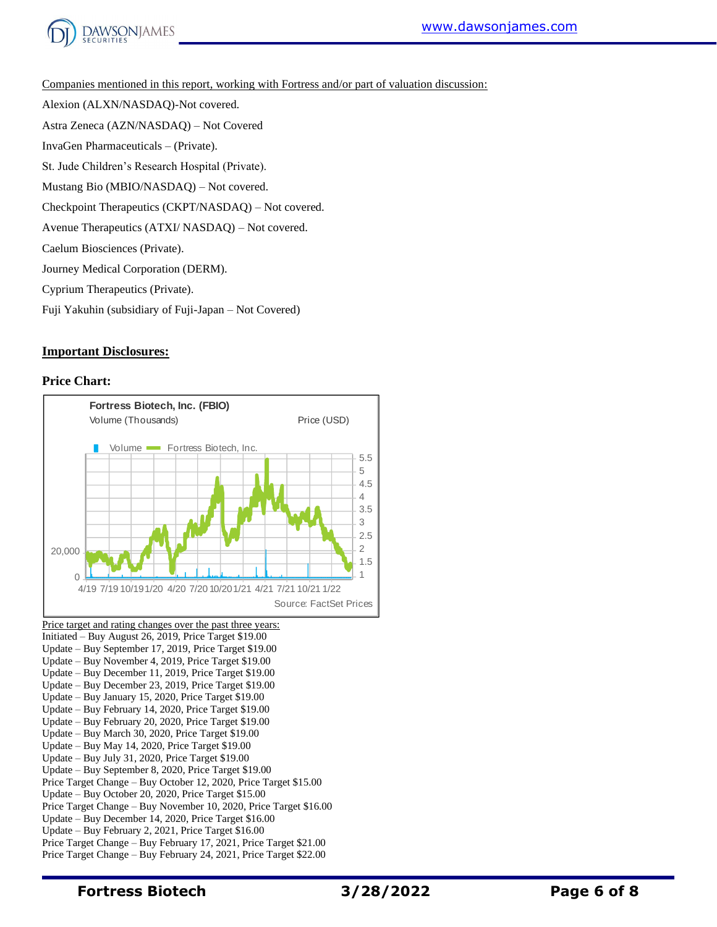

Companies mentioned in this report, working with Fortress and/or part of valuation discussion:

Alexion (ALXN/NASDAQ)-Not covered.

Astra Zeneca (AZN/NASDAQ) – Not Covered

InvaGen Pharmaceuticals – (Private).

St. Jude Children's Research Hospital (Private).

Mustang Bio (MBIO/NASDAQ) – Not covered.

Checkpoint Therapeutics (CKPT/NASDAQ) – Not covered.

Avenue Therapeutics (ATXI/ NASDAQ) – Not covered.

Caelum Biosciences (Private).

Journey Medical Corporation (DERM).

Cyprium Therapeutics (Private).

Fuji Yakuhin (subsidiary of Fuji-Japan – Not Covered)

### **Important Disclosures:**

#### **Price Chart:**



Update – Buy February 20, 2020, Price Target \$19.00

Update – Buy March 30, 2020, Price Target \$19.00

Update – Buy May 14, 2020, Price Target \$19.00

Update – Buy July 31, 2020, Price Target \$19.00

Update – Buy September 8, 2020, Price Target \$19.00

Price Target Change – Buy October 12, 2020, Price Target \$15.00 Update – Buy October 20, 2020, Price Target \$15.00

Price Target Change – Buy November 10, 2020, Price Target \$16.00

Update – Buy December 14, 2020, Price Target \$16.00

Update – Buy February 2, 2021, Price Target \$16.00

Price Target Change – Buy February 17, 2021, Price Target \$21.00 Price Target Change – Buy February 24, 2021, Price Target \$22.00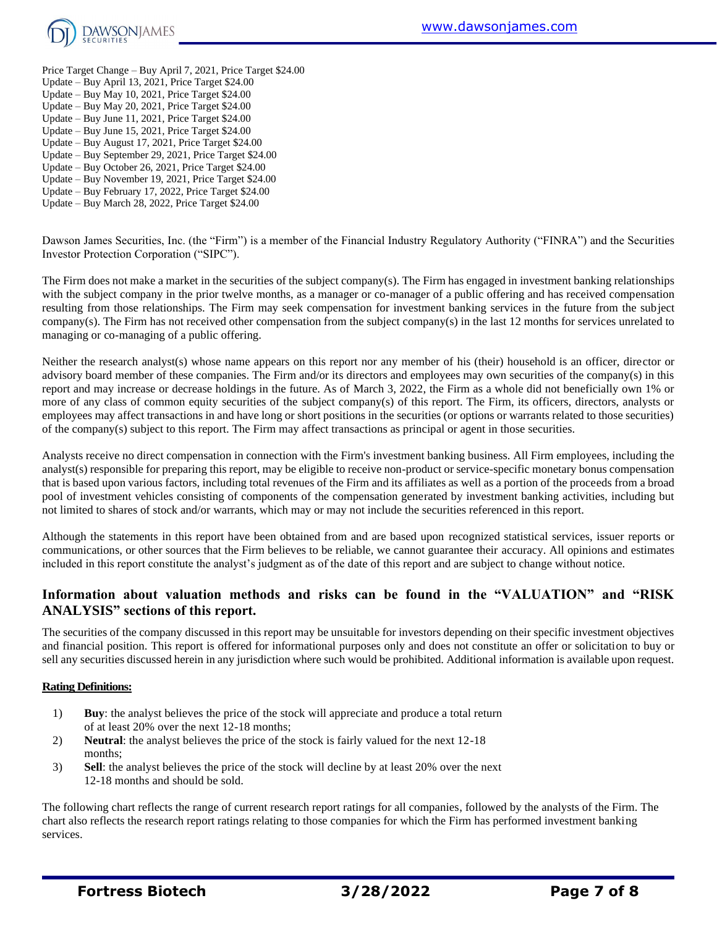

- Price Target Change Buy April 7, 2021, Price Target \$24.00 Update – Buy April 13, 2021, Price Target \$24.00 Update – Buy May 10, 2021, Price Target \$24.00 Update – Buy May 20, 2021, Price Target \$24.00 Update – Buy June 11, 2021, Price Target \$24.00 Update – Buy June 15, 2021, Price Target \$24.00
- Update Buy August 17, 2021, Price Target \$24.00
- Update Buy September 29, 2021, Price Target \$24.00
- Update Buy October 26, 2021, Price Target \$24.00
- Update Buy November 19, 2021, Price Target \$24.00
- Update Buy February 17, 2022, Price Target \$24.00 Update – Buy March 28, 2022, Price Target \$24.00

Dawson James Securities, Inc. (the "Firm") is a member of the Financial Industry Regulatory Authority ("FINRA") and the Securities Investor Protection Corporation ("SIPC").

The Firm does not make a market in the securities of the subject company(s). The Firm has engaged in investment banking relationships with the subject company in the prior twelve months, as a manager or co-manager of a public offering and has received compensation resulting from those relationships. The Firm may seek compensation for investment banking services in the future from the subject company(s). The Firm has not received other compensation from the subject company(s) in the last 12 months for services unrelated to managing or co-managing of a public offering.

Neither the research analyst(s) whose name appears on this report nor any member of his (their) household is an officer, director or advisory board member of these companies. The Firm and/or its directors and employees may own securities of the company(s) in this report and may increase or decrease holdings in the future. As of March 3, 2022, the Firm as a whole did not beneficially own 1% or more of any class of common equity securities of the subject company(s) of this report. The Firm, its officers, directors, analysts or employees may affect transactions in and have long or short positions in the securities (or options or warrants related to those securities) of the company(s) subject to this report. The Firm may affect transactions as principal or agent in those securities.

Analysts receive no direct compensation in connection with the Firm's investment banking business. All Firm employees, including the analyst(s) responsible for preparing this report, may be eligible to receive non-product or service-specific monetary bonus compensation that is based upon various factors, including total revenues of the Firm and its affiliates as well as a portion of the proceeds from a broad pool of investment vehicles consisting of components of the compensation generated by investment banking activities, including but not limited to shares of stock and/or warrants, which may or may not include the securities referenced in this report.

Although the statements in this report have been obtained from and are based upon recognized statistical services, issuer reports or communications, or other sources that the Firm believes to be reliable, we cannot guarantee their accuracy. All opinions and estimates included in this report constitute the analyst's judgment as of the date of this report and are subject to change without notice.

## **Information about valuation methods and risks can be found in the "VALUATION" and "RISK ANALYSIS" sections of this report.**

The securities of the company discussed in this report may be unsuitable for investors depending on their specific investment objectives and financial position. This report is offered for informational purposes only and does not constitute an offer or solicitation to buy or sell any securities discussed herein in any jurisdiction where such would be prohibited. Additional information is available upon request.

#### **Rating Definitions:**

- 1) **Buy**: the analyst believes the price of the stock will appreciate and produce a total return of at least 20% over the next 12-18 months;
- 2) **Neutral**: the analyst believes the price of the stock is fairly valued for the next 12-18 months;
- 3) **Sell**: the analyst believes the price of the stock will decline by at least 20% over the next 12-18 months and should be sold.

The following chart reflects the range of current research report ratings for all companies, followed by the analysts of the Firm. The chart also reflects the research report ratings relating to those companies for which the Firm has performed investment banking services.